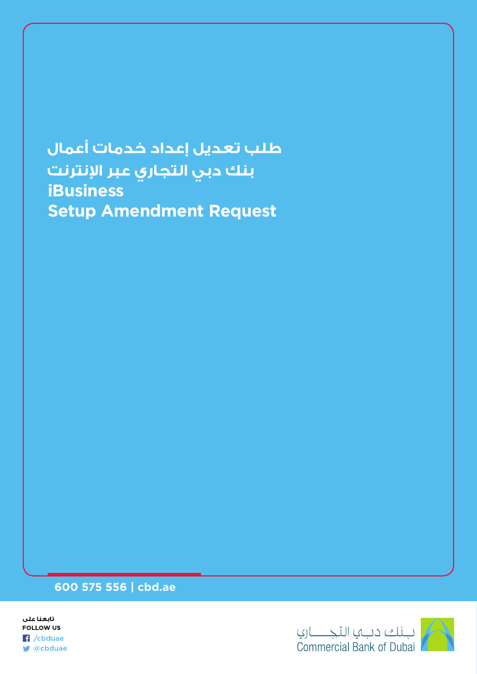طلب تعديل إعداد خدمات أعمال بنك دبي التجاري عبر الإنترنت  **iBusiness Setup Amendment Request** 

## **600 575 556 | cbd.ae**



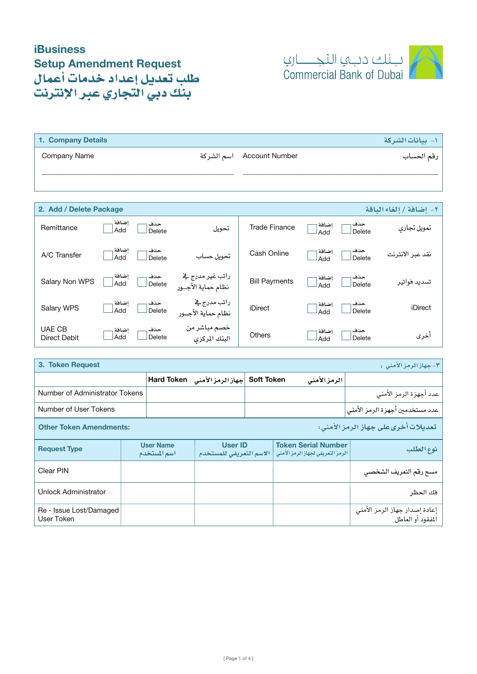

| 1. Company Details      |                               | 1- بيانات1لشركة         |
|-------------------------|-------------------------------|-------------------------|
| Company Name            | Account Number     اسم الشركة | رقم الحساب              |
|                         |                               |                         |
|                         |                               |                         |
| 2. Add / Delete Package |                               | ٢- إضافة / إلغاء الباقة |
|                         |                               |                         |

| Remittance                           | إضافة<br>Add | حذف<br>Delete | تحويل                                     | <b>Trade Finance</b> | إضافة<br>Add | حذف<br>Delete | تمويل تجارى      |
|--------------------------------------|--------------|---------------|-------------------------------------------|----------------------|--------------|---------------|------------------|
| A/C Transfer                         | إضافة<br>Add | حذف<br>Delete | تحويل حساب                                | Cash Online          | إضافة<br>Add | حذف<br>Delete | نقد عبر الانترنت |
| Salary Non WPS                       | إضافة<br>Add | حذف<br>Delete | راتب غير مدرج ⊈<br>نظام حماية الأجــور    | <b>Bill Payments</b> | إضافة<br>Add | حذف<br>Delete | تسديد فواتير     |
| Salary WPS                           | إضافة<br>Add | حذف<br>Delete | راتب مدرج <u>ے</u><br>نظام حمایة الأجــور | iDirect              | إضافة<br>Add | حذف<br>Delete | iDirect          |
| <b>UAE CB</b><br><b>Direct Debit</b> | إضافة<br>Add | حذف<br>Delete | خصم مباشر من<br>البنك المركزى             | <b>Others</b>        | إضافة<br>Add | حذف<br>Delete | أخرى             |

| 3. Token Request<br>  ۳-جهاز الرمز الأمنى :                          |  |                                  |                                           |                   |  |                                                                 |                                                    |  |
|----------------------------------------------------------------------|--|----------------------------------|-------------------------------------------|-------------------|--|-----------------------------------------------------------------|----------------------------------------------------|--|
|                                                                      |  |                                  | جهاز الرمز الأمنى Hard Token              | <b>Soft Token</b> |  | الرمز الأمنى                                                    |                                                    |  |
| Number of Administrator Tokens                                       |  |                                  |                                           |                   |  |                                                                 | عدد أجهزة الرمز الأمنى                             |  |
| Number of User Tokens                                                |  |                                  |                                           |                   |  |                                                                 | عدد مستخدمين أجهزة الرمز الأمنى                    |  |
| تعديلات أخرىعلى جهاز الرمز الأمنى:<br><b>Other Token Amendments:</b> |  |                                  |                                           |                   |  |                                                                 |                                                    |  |
| <b>Request Type</b>                                                  |  | <b>User Name</b><br>اسم المستخدم | <b>User ID</b><br>الاسم التعريفي للمستخدم |                   |  | <b>Token Serial Number</b><br>الرمز التعريفي لجهاز الرمز الامني | نوع الطلب                                          |  |
| Clear PIN                                                            |  |                                  |                                           |                   |  |                                                                 | مسح رقم التعريف الشخص <i>ي</i>                     |  |
| <b>Unlock Administrator</b>                                          |  |                                  |                                           |                   |  |                                                                 | فك الحظر                                           |  |
| Re - Issue Lost/Damaged<br>User Token                                |  |                                  |                                           |                   |  |                                                                 | إعادة إصدار جهاز الرمز الأمني<br>المفقود أو العاطل |  |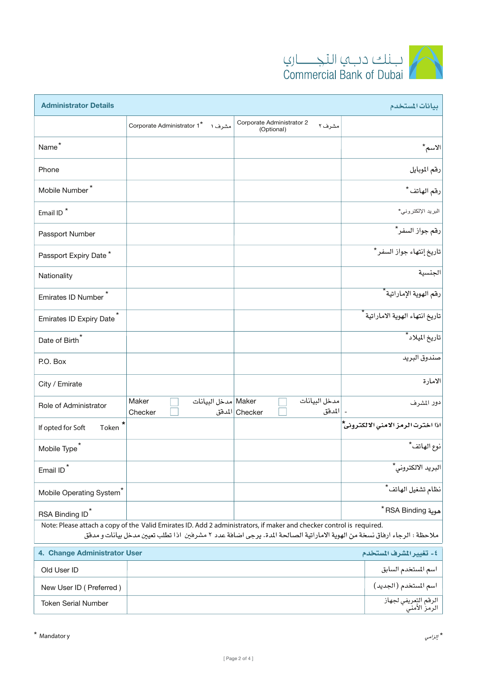

| <b>Administrator Details</b><br>بيانات المستخدم                                                                                                                                                                                                  |                              |                       |                                         |                          |                                                     |                                    |
|--------------------------------------------------------------------------------------------------------------------------------------------------------------------------------------------------------------------------------------------------|------------------------------|-----------------------|-----------------------------------------|--------------------------|-----------------------------------------------------|------------------------------------|
|                                                                                                                                                                                                                                                  | Corporate Administrator 1*   | مشرف ا                | Corporate Administrator 2<br>(Optional) | مشرف ۲                   |                                                     |                                    |
| Name <sup>*</sup>                                                                                                                                                                                                                                |                              |                       |                                         |                          |                                                     | الاسم*                             |
| Phone                                                                                                                                                                                                                                            |                              |                       |                                         |                          |                                                     | رقم الموبايل                       |
| Mobile Number <sup>*</sup>                                                                                                                                                                                                                       |                              |                       |                                         |                          |                                                     | رقم الهاتف*                        |
| Email ID <sup>*</sup>                                                                                                                                                                                                                            |                              |                       |                                         |                          |                                                     | البريد الإلكتروني*                 |
| Passport Number                                                                                                                                                                                                                                  |                              |                       |                                         |                          |                                                     | رقم جواز السفر*                    |
| Passport Expiry Date*                                                                                                                                                                                                                            |                              |                       |                                         |                          |                                                     | تاريخ إنتهاء جواز السفر*           |
| Nationality                                                                                                                                                                                                                                      |                              |                       |                                         |                          |                                                     | الجنسية                            |
| <b>Emirates ID Number</b>                                                                                                                                                                                                                        |                              |                       |                                         |                          |                                                     | رقم الهوية الإماراتية *            |
| <b>Emirates ID Expiry Date</b>                                                                                                                                                                                                                   |                              |                       |                                         |                          | تاريخ انتهاء الهوية الاماراتية <del>آ</del>         |                                    |
| Date of Birth*                                                                                                                                                                                                                                   |                              |                       |                                         |                          | تاريخ الميلاد <sup>*</sup>                          |                                    |
| P.O. Box                                                                                                                                                                                                                                         |                              |                       |                                         |                          | صندوق البريد                                        |                                    |
| City / Emirate                                                                                                                                                                                                                                   |                              |                       |                                         |                          | الامارة                                             |                                    |
| Role of Administrator                                                                                                                                                                                                                            | Maker<br>Checker             | Maker   مدخل البيانات | Checker   المدفق                        | مدخل البيانات<br> المدقق | دور المشرف                                          |                                    |
| *<br>If opted for Soft<br>Token                                                                                                                                                                                                                  |                              |                       |                                         |                          |                                                     | اذا اخترت الرمز الامنى الالكتروني* |
| Mobile Type                                                                                                                                                                                                                                      |                              |                       |                                         |                          |                                                     | نوع الهاتف*                        |
| Email ID                                                                                                                                                                                                                                         |                              |                       |                                         |                          |                                                     | البريد الالكتروني*                 |
| Mobile Operating System <sup>®</sup>                                                                                                                                                                                                             |                              |                       |                                         |                          | نظام تشغيل الهاتف <sup>*</sup>                      |                                    |
| RSA Binding ID <sup>*</sup>                                                                                                                                                                                                                      |                              |                       |                                         |                          | * RSA Binding موية                                  |                                    |
| Note: Please attach a copy of the Valid Emirates ID. Add 2 administrators, if maker and checker control is required.<br>ملاحظة : الرجاء ارفاق نسخة من الهوية الاماراتية الصالحة المدة. يرجى اضافة عدد ٢ مشرفين اذا تطلب تعيين مدخل بيانات و مدفق |                              |                       |                                         |                          |                                                     |                                    |
|                                                                                                                                                                                                                                                  | 4. Change Administrator User |                       |                                         |                          | ٤- تغيير الشرف المستخدم                             |                                    |
| Old User ID                                                                                                                                                                                                                                      |                              |                       |                                         |                          |                                                     | اسم المستخدم السابق                |
| New User ID (Preferred)                                                                                                                                                                                                                          |                              |                       |                                         |                          | اسم المستخدم (الجديد)                               |                                    |
| <b>Token Serial Number</b>                                                                                                                                                                                                                       |                              |                       |                                         |                          | الر <mark>قم التعريفي لجهاز.</mark><br>الرمز الأمنى |                                    |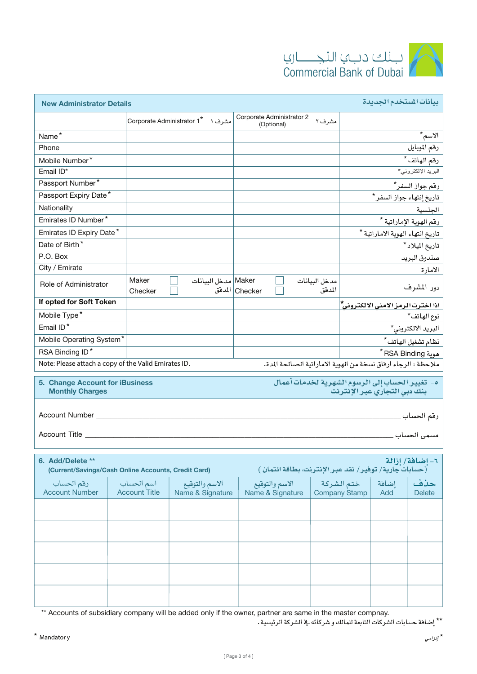



| بيانات المستخدم الجديدة<br><b>New Administrator Details</b>                                                                                  |                                    |                                    |                                                        |                         |                                    |                                    |                            |
|----------------------------------------------------------------------------------------------------------------------------------------------|------------------------------------|------------------------------------|--------------------------------------------------------|-------------------------|------------------------------------|------------------------------------|----------------------------|
|                                                                                                                                              |                                    | مشرف ۱ Corporate Administrator 1*  | Corporate Administrator 2<br>(Optional)                |                         |                                    |                                    |                            |
| Name*                                                                                                                                        |                                    |                                    |                                                        |                         |                                    |                                    | الاسم*                     |
| Phone                                                                                                                                        |                                    |                                    |                                                        |                         |                                    |                                    | رقم الموبايل               |
| Mobile Number*                                                                                                                               |                                    |                                    |                                                        |                         |                                    |                                    | رقم الهاتف*                |
| Email ID*                                                                                                                                    |                                    |                                    |                                                        |                         |                                    |                                    | البريد الإلكترون <i>ي*</i> |
| Passport Number*                                                                                                                             |                                    |                                    |                                                        |                         |                                    |                                    | رقم جواز السفر*            |
| Passport Expiry Date*                                                                                                                        |                                    |                                    |                                                        |                         |                                    | تاريخ إنتهاء جواز السفر*           |                            |
| Nationality                                                                                                                                  |                                    |                                    |                                                        |                         |                                    |                                    | الجنسية                    |
| Emirates ID Number*                                                                                                                          |                                    |                                    |                                                        |                         |                                    |                                    | رقم الهوية الإماراتية *    |
| Emirates ID Expiry Date*                                                                                                                     |                                    |                                    |                                                        |                         |                                    | تاريخ انتهاء الهوية الاماراتية *   |                            |
| Date of Birth*                                                                                                                               |                                    |                                    |                                                        |                         |                                    |                                    | تاريخ الميلاد*             |
| P.O. Box                                                                                                                                     |                                    |                                    |                                                        |                         |                                    |                                    | صندوق البريد               |
| City / Emirate                                                                                                                               |                                    |                                    |                                                        |                         |                                    |                                    | الامارة                    |
| Role of Administrator                                                                                                                        | Maker<br>Checker                   | Maker   مدخل البيانات              | Checker المدفق                                         | مدخل البيانات<br>المدفق |                                    |                                    | دور المشرف                 |
| If opted for Soft Token                                                                                                                      |                                    |                                    |                                                        |                         |                                    | اذا اخترت الرمز الامنى الالكتروني* |                            |
| Mobile Type*                                                                                                                                 |                                    |                                    |                                                        |                         |                                    |                                    | نوع الهاتف*                |
| Email ID*                                                                                                                                    |                                    |                                    |                                                        |                         |                                    |                                    | البريد الالكتروني*         |
| Mobile Operating System*                                                                                                                     |                                    |                                    |                                                        |                         | نظام تشغيل الهاتف*                 |                                    |                            |
| RSA Binding ID*                                                                                                                              |                                    |                                    |                                                        |                         |                                    |                                    |                            |
| * RSA Binding موية<br>ملاحظة : الرجاء ارفاق نسخة من الهوية الاماراتية الصالحة المدة.<br>Note: Please attach a copy of the Valid Emirates ID. |                                    |                                    |                                                        |                         |                                    |                                    |                            |
|                                                                                                                                              |                                    |                                    |                                                        |                         |                                    |                                    |                            |
| ه- تغيير الحساب إلى الرسوم الشهرية لخدمات أعمال<br>5. Change Account for iBusiness<br>بنك دبي التجاري عبر الإنترنت<br><b>Monthly Charges</b> |                                    |                                    |                                                        |                         |                                    |                                    |                            |
| Account Number _<br>رقم الحساب _<br>مسمى الحساب _<br>Account Title                                                                           |                                    |                                    |                                                        |                         |                                    |                                    |                            |
|                                                                                                                                              |                                    |                                    |                                                        |                         |                                    |                                    |                            |
| 6. Add/Delete **<br>(Current/Savings/Cash Online Accounts, Credit Card)                                                                      |                                    |                                    | (حسابات جارية/ توفير/ نقد عبر الإنترنت، بطاقة ائتمان ) |                         |                                    |                                    | ٦- إضافة/ إزالة            |
| رقم الحساب<br><b>Account Number</b>                                                                                                          | اسم الحساب<br><b>Account Title</b> | الاسم والتوقيع<br>Name & Signature | الاسم والتوقيع<br>Name & Signature                     |                         | ختم الشركة<br><b>Company Stamp</b> | إضافة<br>Add                       | حذف<br><b>Delete</b>       |
|                                                                                                                                              |                                    |                                    |                                                        |                         |                                    |                                    |                            |
|                                                                                                                                              |                                    |                                    |                                                        |                         |                                    |                                    |                            |
|                                                                                                                                              |                                    |                                    |                                                        |                         |                                    |                                    |                            |
|                                                                                                                                              |                                    |                                    |                                                        |                         |                                    |                                    |                            |
|                                                                                                                                              |                                    |                                    |                                                        |                         |                                    |                                    |                            |
|                                                                                                                                              |                                    |                                    |                                                        |                         |                                    |                                    |                            |

\*\* Accounts of subsidiary company will be added only if the owner, partner are same in the master compnay.

.<br>\*\* إضافة حسابات الشركات التابعة للمالك و شركائه في الشركة الرئيسية .